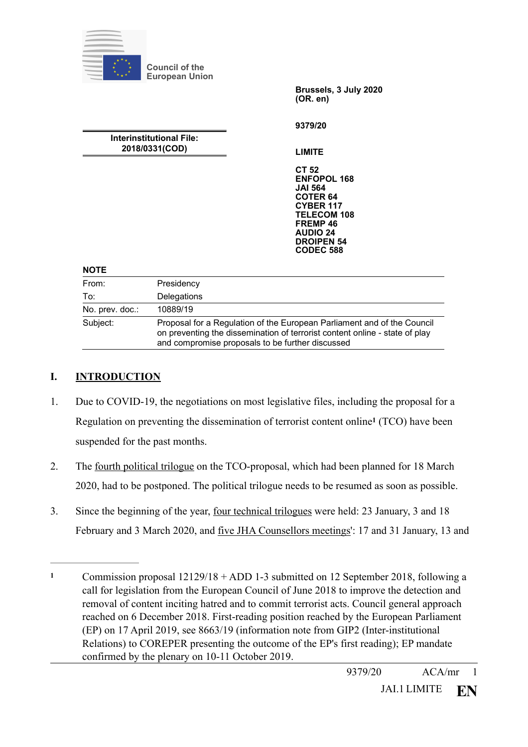|                                                   | <b>Council of the</b><br><b>European Union</b>                                                                                                         |                                                                                                                                                                                                      |
|---------------------------------------------------|--------------------------------------------------------------------------------------------------------------------------------------------------------|------------------------------------------------------------------------------------------------------------------------------------------------------------------------------------------------------|
|                                                   |                                                                                                                                                        | Brussels, 3 July 2020<br>(OR. en)                                                                                                                                                                    |
|                                                   |                                                                                                                                                        | 9379/20                                                                                                                                                                                              |
| <b>Interinstitutional File:</b><br>2018/0331(COD) |                                                                                                                                                        | <b>LIMITE</b>                                                                                                                                                                                        |
|                                                   |                                                                                                                                                        | <b>CT 52</b><br><b>ENFOPOL 168</b><br><b>JAI 564</b><br><b>COTER 64</b><br><b>CYBER 117</b><br><b>TELECOM 108</b><br>FREMP <sub>46</sub><br><b>AUDIO 24</b><br><b>DROIPEN 54</b><br><b>CODEC 588</b> |
| <b>NOTE</b>                                       |                                                                                                                                                        |                                                                                                                                                                                                      |
| From:                                             | Presidency                                                                                                                                             |                                                                                                                                                                                                      |
| To:                                               | Delegations                                                                                                                                            |                                                                                                                                                                                                      |
| No. prev. doc.:                                   | 10889/19                                                                                                                                               |                                                                                                                                                                                                      |
| Subject:                                          | Proposal for a Regulation of the European Parliament and of the Council<br>on preventing the dissemination of terrorist content online - state of play |                                                                                                                                                                                                      |

## **I. INTRODUCTION**

1. Due to COVID-19, the negotiations on most legislative files, including the proposal for a Regulationon preventing the dissemination of terrorist content online<sup>1</sup> (TCO) have been suspended for the past months.

<span id="page-0-1"></span>and compromise proposals to be further discussed

- 2. The fourth political trilogue on the TCO-proposal, which had been planned for 18 March 2020, had to be postponed. The political trilogue needs to be resumed as soon as possible.
- 3. Since the beginning of the year, four technical trilogues were held: 23 January, 3 and 18 February and 3 March 2020, and five JHA Counsellors meetings': 17 and 31 January, 13 and

<span id="page-0-0"></span>Commission proposal 12129/18 + ADD 1-3 submitted on 12 September 2018, following a **[1](#page-0-1)** call for legislation from the European Council of June 2018 to improve the detection and removal of content inciting hatred and to commit terrorist acts. Council general approach reached on 6 December 2018. First-reading position reached by the European Parliament (EP) on 17 April 2019, see 8663/19 (information note from GIP2 (Inter-institutional Relations) to COREPER presenting the outcome of the EP's first reading); EP mandate confirmed by the plenary on 10-11 October 2019.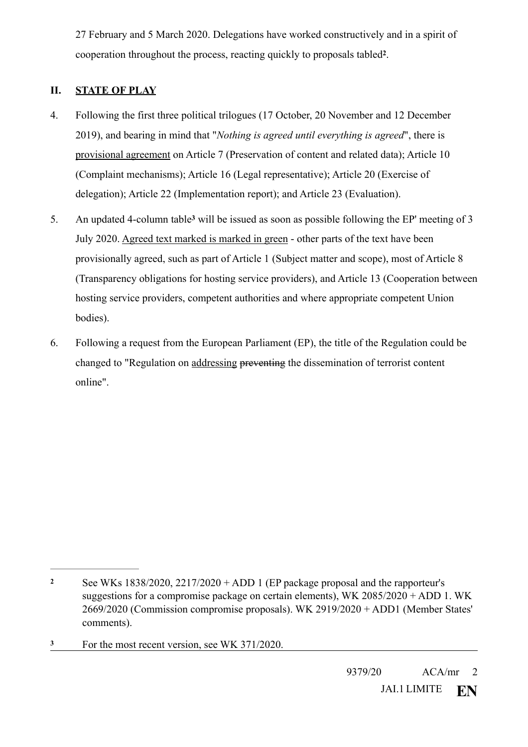<span id="page-1-2"></span>27 February and 5 March 2020. Delegations have worked constructively and in a spirit of cooperation throughout the process, reacting quickly to proposals tabled<sup>[2](#page-1-0)</sup>.

# **II. STATE OF PLAY**

- 4. Following the first three political trilogues (17 October, 20 November and 12 December 2019), and bearing in mind that "*Nothing is agreed until everything is agreed*", there is provisional agreement on Article 7 (Preservation of content and related data); Article 10 (Complaint mechanisms); Article 16 (Legal representative); Article 20 (Exercise of delegation); Article 22 (Implementation report); and Article 23 (Evaluation).
- <span id="page-1-3"></span>5. An updat[e](#page-1-1)d 4-column table<sup>3</sup> will be issued as soon as possible following the EP' meeting of 3 July 2020. Agreed text marked is marked in green - other parts of the text have been provisionally agreed, such as part of Article 1 (Subject matter and scope), most of Article 8 (Transparency obligations for hosting service providers), and Article 13 (Cooperation between hosting service providers, competent authorities and where appropriate competent Union bodies).
- 6. Following a request from the European Parliament (EP), the title of the Regulation could be changed to "Regulation on addressing preventing the dissemination of terrorist content online".

<span id="page-1-0"></span>See WKs 1838/2020, 2217/2020 + ADD 1 (EP package proposal and the rapporteur's **[2](#page-1-2)** suggestions for a compromise package on certain elements), WK 2085/2020 + ADD 1. WK 2669/2020 (Commission compromise proposals). WK 2919/2020 + ADD1 (Member States' comments).

<span id="page-1-1"></span>For the most recent version, see WK 371/2020. **[3](#page-1-3)**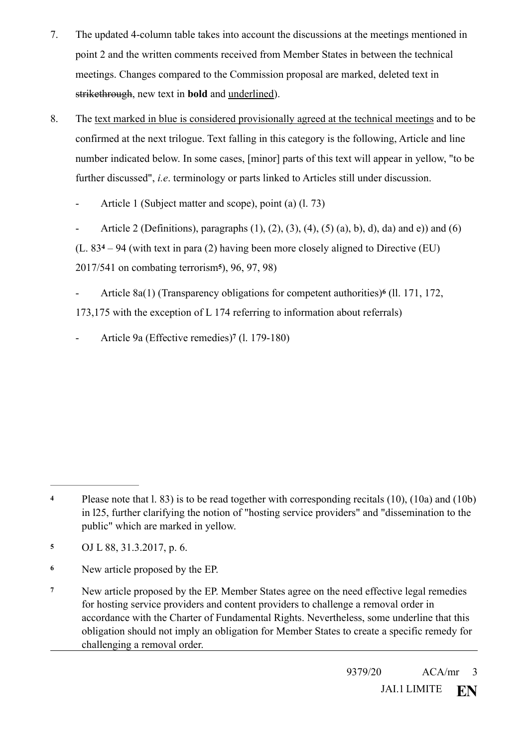- 7. The updated 4-column table takes into account the discussions at the meetings mentioned in point 2 and the written comments received from Member States in between the technical meetings. Changes compared to the Commission proposal are marked, deleted text in strikethrough, new text in **bold** and underlined).
- <span id="page-2-6"></span><span id="page-2-5"></span><span id="page-2-4"></span>8. The text marked in blue is considered provisionally agreed at the technical meetings and to be confirmed at the next trilogue. Text falling in this category is the following, Article and line number indicated below. In some cases, [minor] parts of this text will appear in yellow, "to be further discussed", *i.e*. terminology or parts linked to Articles still under discussion.
	- Article 1 (Subject matter and scope), point (a) (1, 73)
	- Article 2 (Definitions), paragraphs  $(1)$ ,  $(2)$ ,  $(3)$ ,  $(4)$ ,  $(5)$   $(a)$ ,  $(b)$ ,  $(d)$ ,  $(ad)$  and  $(e)$ ) and  $(6)$  $(L. 83<sup>4</sup> – 94$  $(L. 83<sup>4</sup> – 94$  $(L. 83<sup>4</sup> – 94$  (with text in para (2) having been more closely aligned to Directive (EU) 2017/[5](#page-2-1)41 on combating terrorism<sup>5</sup>), 96, 97, 98)
	- Article8a(1) (Transparency obligations for competent authorities)<sup>6</sup> (ll. 171, 172, 173,175 with the exception of L 174 referring to information about referrals)
	- Article 9a (Effective remedies[\)](#page-2-3) (l. 179-180) **<sup>7</sup>**

<span id="page-2-7"></span><span id="page-2-0"></span>Please note that l. 83) is to be read together with corresponding recitals (10), (10a) and (10b) **[4](#page-2-4)** in l25, further clarifying the notion of "hosting service providers" and "dissemination to the public" which are marked in yellow.

<span id="page-2-1"></span>OJ L 88, 31.3.2017, p. 6. **[5](#page-2-5)**

<span id="page-2-2"></span>New article proposed by the EP. **[6](#page-2-6)**

<span id="page-2-3"></span>New article proposed by the EP. Member States agree on the need effective legal remedies **[7](#page-2-7)** for hosting service providers and content providers to challenge a removal order in accordance with the Charter of Fundamental Rights. Nevertheless, some underline that this obligation should not imply an obligation for Member States to create a specific remedy for challenging a removal order.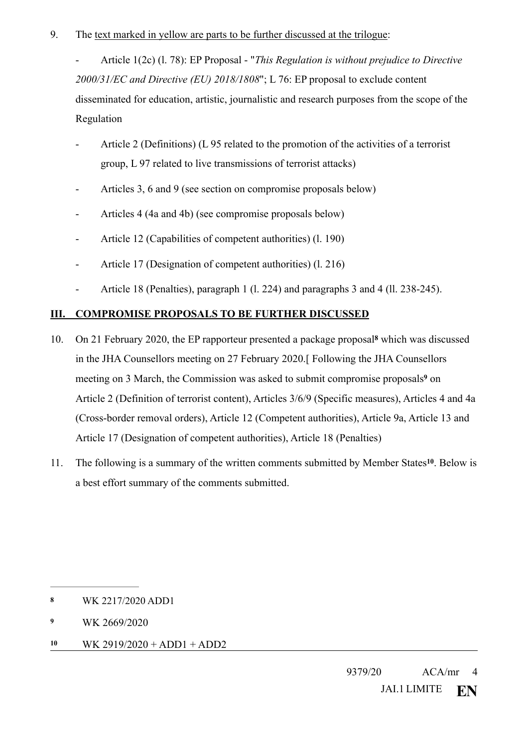9. The text marked in yellow are parts to be further discussed at the trilogue:

- Article 1(2c) (l. 78): EP Proposal - "*This Regulation is without prejudice to Directive 2000/31/EC and Directive (EU) 2018/1808*"; L 76: EP proposal to exclude content disseminated for education, artistic, journalistic and research purposes from the scope of the Regulation

- Article 2 (Definitions) (L 95 related to the promotion of the activities of a terrorist group, L 97 related to live transmissions of terrorist attacks)
- Articles 3, 6 and 9 (see section on compromise proposals below)
- Articles 4 (4a and 4b) (see compromise proposals below)
- Article 12 (Capabilities of competent authorities) (l. 190)
- Article 17 (Designation of competent authorities) (l. 216)
- <span id="page-3-4"></span><span id="page-3-3"></span>- Article 18 (Penalties), paragraph 1 (l. 224) and paragraphs 3 and 4 (ll. 238-245).

## **III. COMPROMISE PROPOSALS TO BE FURTHER DISCUSSED**

- 10. On 21 February 2020, the EP rapporteur presented a package proposa[l](#page-3-0)<sup>8</sup> which was discussed in the JHA Counsellors meeting on 27 February 2020.[ Following the JHA Counsellors meetingon 3 March, the Commission was asked to submit compromise proposals<sup>9</sup> on Article 2 (Definition of terrorist content), Articles 3/6/9 (Specific measures), Articles 4 and 4a (Cross-border removal orders), Article 12 (Competent authorities), Article 9a, Article 13 and Article 17 (Designation of competent authorities), Article 18 (Penalties)
- <span id="page-3-5"></span>11. The following is a summary of the written comments submitted by Member States<sup>[10](#page-3-2)</sup>. Below is a best effort summary of the comments submitted.

<span id="page-3-2"></span>**[10](#page-3-5)** WK 2919/2020 + ADD1 + ADD2

<span id="page-3-0"></span>**[<sup>8</sup>](#page-3-3)** WK 2217/2020 ADD1

<span id="page-3-1"></span>**[<sup>9</sup>](#page-3-4)** WK 2669/2020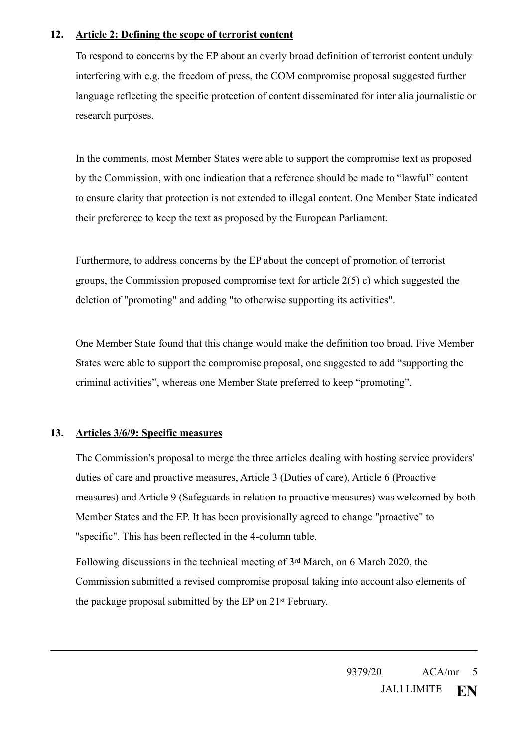### **12. Article 2: Defining the scope of terrorist content**

To respond to concerns by the EP about an overly broad definition of terrorist content unduly interfering with e.g. the freedom of press, the COM compromise proposal suggested further language reflecting the specific protection of content disseminated for inter alia journalistic or research purposes.

In the comments, most Member States were able to support the compromise text as proposed by the Commission, with one indication that a reference should be made to "lawful" content to ensure clarity that protection is not extended to illegal content. One Member State indicated their preference to keep the text as proposed by the European Parliament.

Furthermore, to address concerns by the EP about the concept of promotion of terrorist groups, the Commission proposed compromise text for article  $2(5)$  c) which suggested the deletion of "promoting" and adding "to otherwise supporting its activities".

One Member State found that this change would make the definition too broad. Five Member States were able to support the compromise proposal, one suggested to add "supporting the criminal activities", whereas one Member State preferred to keep "promoting".

## **13. Articles 3/6/9: Specific measures**

The Commission's proposal to merge the three articles dealing with hosting service providers' duties of care and proactive measures, Article 3 (Duties of care), Article 6 (Proactive measures) and Article 9 (Safeguards in relation to proactive measures) was welcomed by both Member States and the EP. It has been provisionally agreed to change "proactive" to "specific". This has been reflected in the 4-column table.

Following discussions in the technical meeting of 3rd March, on 6 March 2020, the Commission submitted a revised compromise proposal taking into account also elements of the package proposal submitted by the EP on 21st February.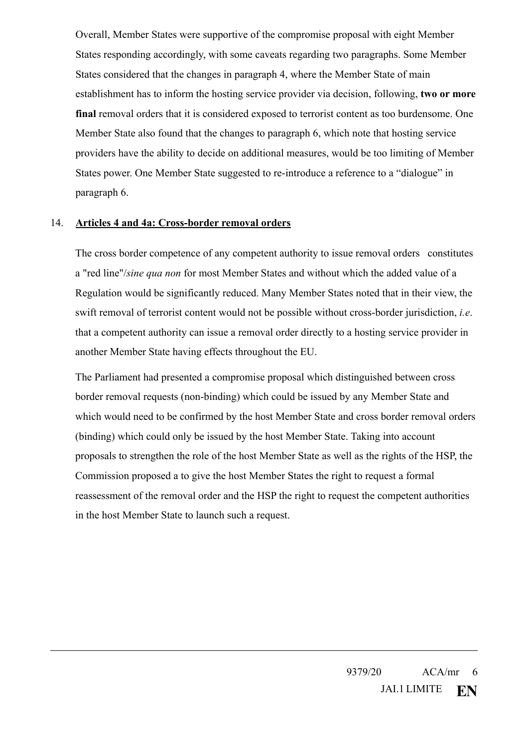Overall, Member States were supportive of the compromise proposal with eight Member States responding accordingly, with some caveats regarding two paragraphs. Some Member States considered that the changes in paragraph 4, where the Member State of main establishment has to inform the hosting service provider via decision, following, **two or more final** removal orders that it is considered exposed to terrorist content as too burdensome. One Member State also found that the changes to paragraph 6, which note that hosting service providers have the ability to decide on additional measures, would be too limiting of Member States power. One Member State suggested to re-introduce a reference to a "dialogue" in paragraph 6.

#### 14. **Articles 4 and 4a: Cross-border removal orders**

 The cross border competence of any competent authority to issue removal orders constitutes a "red line"/*sine qua non* for most Member States and without which the added value of a Regulation would be significantly reduced. Many Member States noted that in their view, the swift removal of terrorist content would not be possible without cross-border jurisdiction, *i.e*. that a competent authority can issue a removal order directly to a hosting service provider in another Member State having effects throughout the EU.

The Parliament had presented a compromise proposal which distinguished between cross border removal requests (non-binding) which could be issued by any Member State and which would need to be confirmed by the host Member State and cross border removal orders (binding) which could only be issued by the host Member State. Taking into account proposals to strengthen the role of the host Member State as well as the rights of the HSP, the Commission proposed a to give the host Member States the right to request a formal reassessment of the removal order and the HSP the right to request the competent authorities in the host Member State to launch such a request.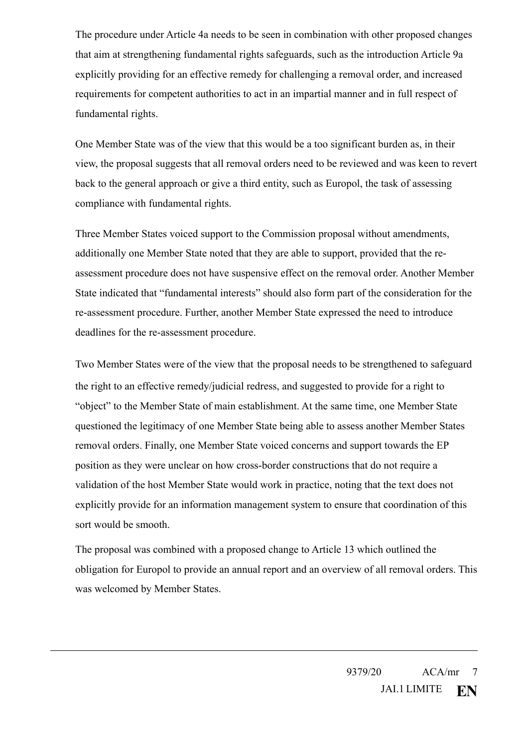The procedure under Article 4a needs to be seen in combination with other proposed changes that aim at strengthening fundamental rights safeguards, such as the introduction Article 9a explicitly providing for an effective remedy for challenging a removal order, and increased requirements for competent authorities to act in an impartial manner and in full respect of fundamental rights.

One Member State was of the view that this would be a too significant burden as, in their view, the proposal suggests that all removal orders need to be reviewed and was keen to revert back to the general approach or give a third entity, such as Europol, the task of assessing compliance with fundamental rights.

Three Member States voiced support to the Commission proposal without amendments, additionally one Member State noted that they are able to support, provided that the reassessment procedure does not have suspensive effect on the removal order. Another Member State indicated that "fundamental interests" should also form part of the consideration for the re-assessment procedure. Further, another Member State expressed the need to introduce deadlines for the re-assessment procedure.

Two Member States were of the view that the proposal needs to be strengthened to safeguard the right to an effective remedy/judicial redress, and suggested to provide for a right to "object" to the Member State of main establishment. At the same time, one Member State questioned the legitimacy of one Member State being able to assess another Member States removal orders. Finally, one Member State voiced concerns and support towards the EP position as they were unclear on how cross-border constructions that do not require a validation of the host Member State would work in practice, noting that the text does not explicitly provide for an information management system to ensure that coordination of this sort would be smooth.

The proposal was combined with a proposed change to Article 13 which outlined the obligation for Europol to provide an annual report and an overview of all removal orders. This was welcomed by Member States.